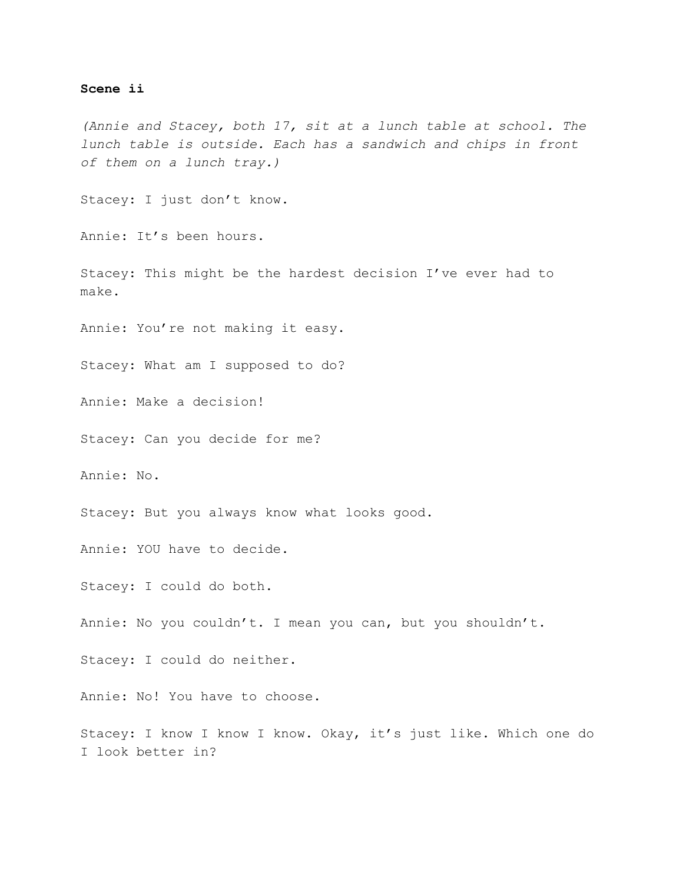## **Scene ii**

*(Annie and Stacey, both 17, sit at a lunch table at school. The lunch table is outside. Each has a sandwich and chips in front of them on a lunch tray.)*

Stacey: I just don't know.

Annie: It's been hours.

Stacey: This might be the hardest decision I've ever had to make.

Annie: You're not making it easy.

Stacey: What am I supposed to do?

Annie: Make a decision!

Stacey: Can you decide for me?

Annie: No.

Stacey: But you always know what looks good.

Annie: YOU have to decide.

Stacey: I could do both.

Annie: No you couldn't. I mean you can, but you shouldn't.

Stacey: I could do neither.

Annie: No! You have to choose.

Stacey: I know I know I know. Okay, it's just like. Which one do I look better in?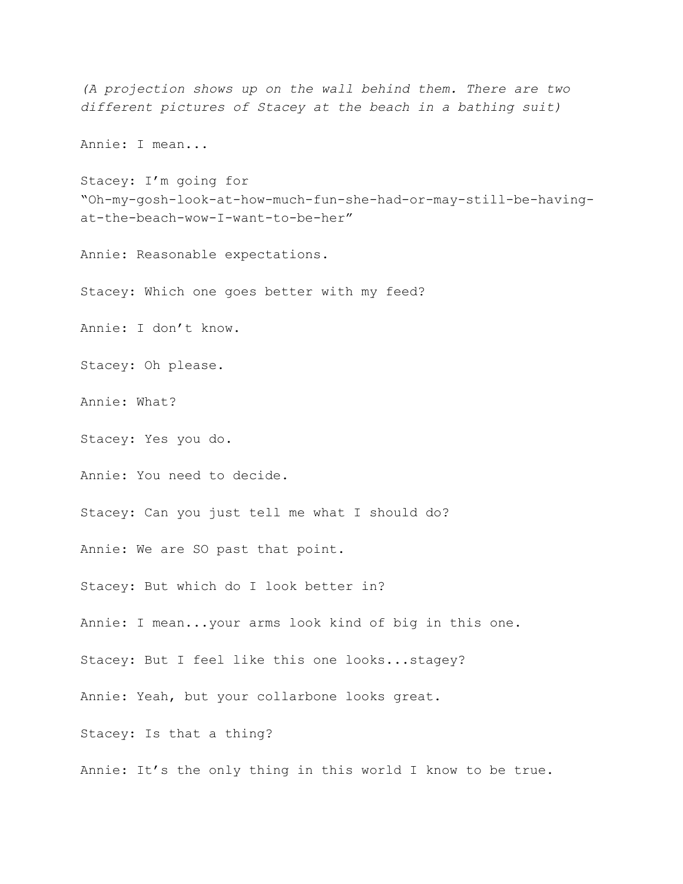*(A projection shows up on the wall behind them. There are two different pictures of Stacey at the beach in a bathing suit)*

Annie: I mean...

Stacey: I'm going for "Oh-my-gosh-look-at-how-much-fun-she-had-or-may-still-be-havingat-the-beach-wow-I-want-to-be-her"

Annie: Reasonable expectations.

Stacey: Which one goes better with my feed?

Annie: I don't know.

Stacey: Oh please.

Annie: What?

Stacey: Yes you do.

Annie: You need to decide.

Stacey: Can you just tell me what I should do?

Annie: We are SO past that point.

Stacey: But which do I look better in?

Annie: I mean...your arms look kind of big in this one.

Stacey: But I feel like this one looks...stagey?

Annie: Yeah, but your collarbone looks great.

Stacey: Is that a thing?

Annie: It's the only thing in this world I know to be true.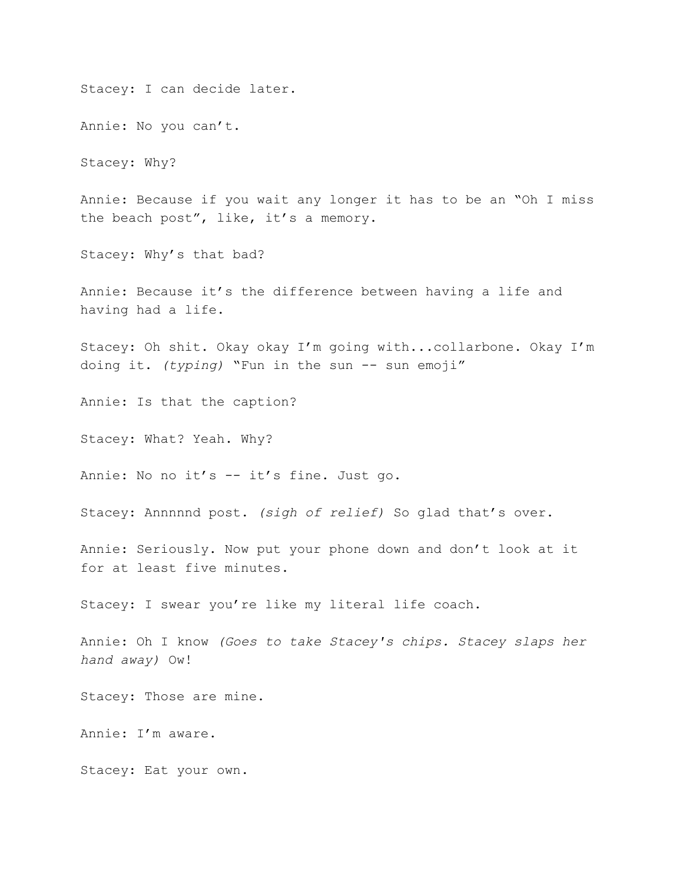Stacey: I can decide later.

Annie: No you can't.

Stacey: Why?

Annie: Because if you wait any longer it has to be an "Oh I miss the beach post", like, it's a memory.

Stacey: Why's that bad?

Annie: Because it's the difference between having a life and having had a life.

Stacey: Oh shit. Okay okay I'm going with...collarbone. Okay I'm doing it. (typing) "Fun in the sun -- sun emoji"

Annie: Is that the caption?

Stacey: What? Yeah. Why?

Annie: No no it's -- it's fine. Just go.

Stacey: Annnnnd post. *(sigh of relief)* So glad that's over.

Annie: Seriously. Now put your phone down and don't look at it for at least five minutes.

Stacey: I swear you're like my literal life coach.

Annie: Oh I know *(Goes to take Stacey's chips. Stacey slaps her hand away)* Ow!

Stacey: Those are mine.

Annie: I'm aware.

Stacey: Eat your own.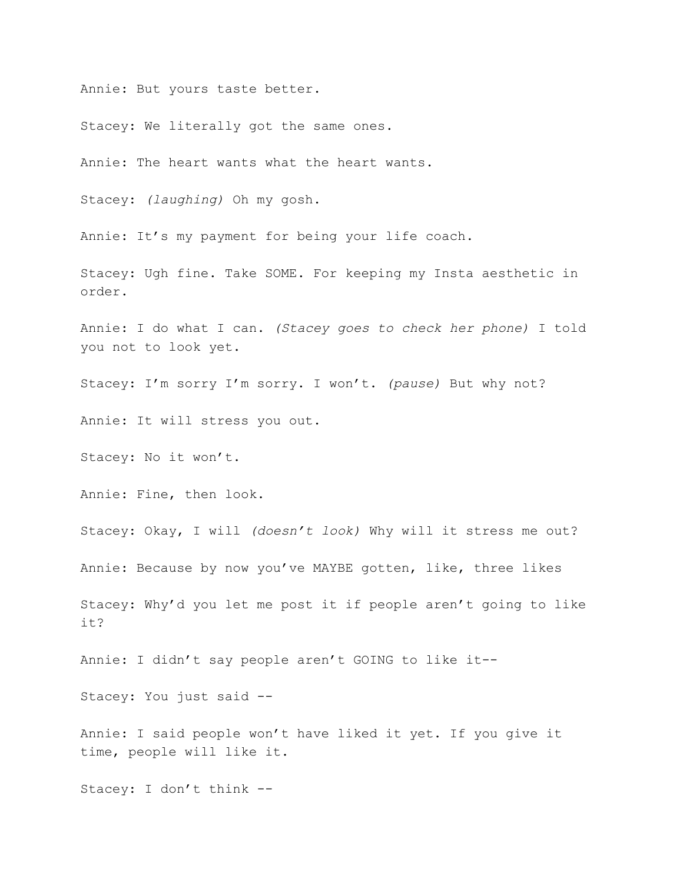Annie: But yours taste better.

Stacey: We literally got the same ones.

Annie: The heart wants what the heart wants.

Stacey: *(laughing)* Oh my gosh.

Annie: It's my payment for being your life coach.

Stacey: Ugh fine. Take SOME. For keeping my Insta aesthetic in order.

Annie: I do what I can. *(Stacey goes to check her phone)* I told you not to look yet.

Stacey: I'm sorry I'm sorry. I won't. *(pause)* But why not?

Annie: It will stress you out.

Stacey: No it won't.

Annie: Fine, then look.

Stacey: Okay, I will *(doesn't look)* Why will it stress me out? Annie: Because by now you've MAYBE gotten, like, three likes Stacey: Why'd you let me post it if people aren't going to like

it?

Annie: I didn't say people aren't GOING to like it--

Stacey: You just said --

Annie: I said people won't have liked it yet. If you give it time, people will like it.

Stacey: I don't think --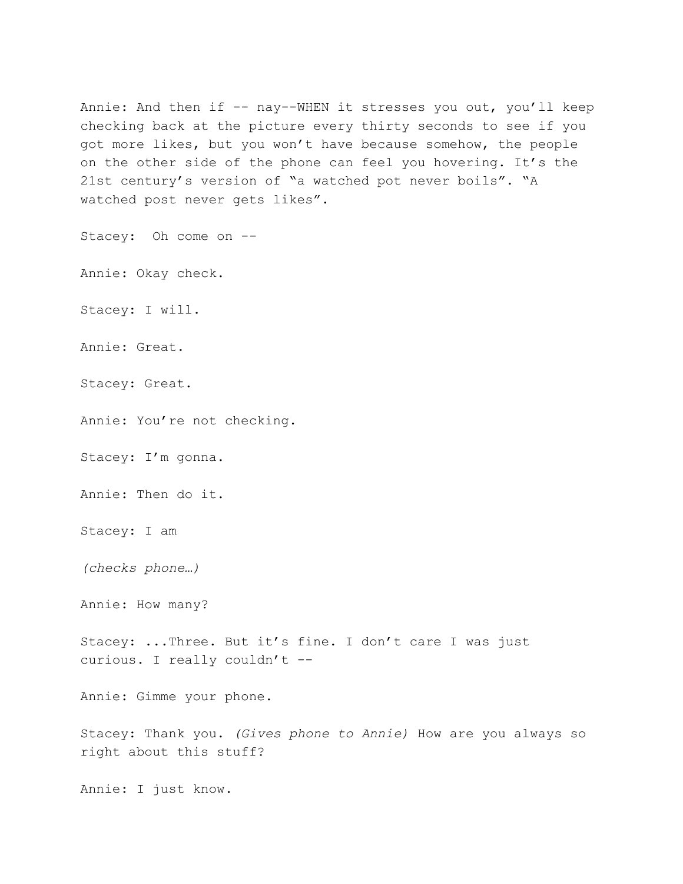Annie: And then if -- nay--WHEN it stresses you out, you'll keep checking back at the picture every thirty seconds to see if you got more likes, but you won't have because somehow, the people on the other side of the phone can feel you hovering. It's the 21st century's version of "a watched pot never boils". "A watched post never gets likes".

Stacey: Oh come on --

Annie: Okay check.

Stacey: I will.

Annie: Great.

Stacey: Great.

Annie: You're not checking.

Stacey: I'm gonna.

Annie: Then do it.

Stacey: I am

*(checks phone…)*

Annie: How many?

Stacey: ...Three. But it's fine. I don't care I was just curious. I really couldn't --

Annie: Gimme your phone.

Stacey: Thank you. *(Gives phone to Annie)* How are you always so right about this stuff?

Annie: I just know.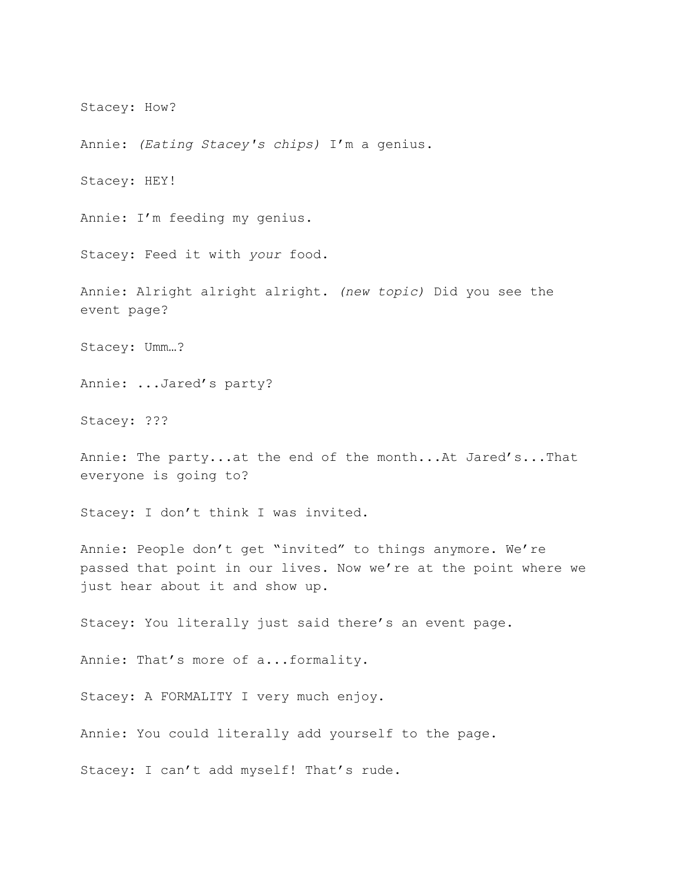Stacey: How?

Annie: *(Eating Stacey's chips)* I'm a genius.

Stacey: HEY!

Annie: I'm feeding my genius.

Stacey: Feed it with *your* food.

Annie: Alright alright alright. *(new topic)* Did you see the event page?

Stacey: Umm…?

Annie: ...Jared's party?

Stacey: ???

Annie: The party...at the end of the month...At Jared's...That everyone is going to?

Stacey: I don't think I was invited.

Annie: People don't get "invited" to things anymore. We're passed that point in our lives. Now we're at the point where we just hear about it and show up.

Stacey: You literally just said there's an event page.

Annie: That's more of a...formality.

Stacey: A FORMALITY I very much enjoy.

Annie: You could literally add yourself to the page.

Stacey: I can't add myself! That's rude.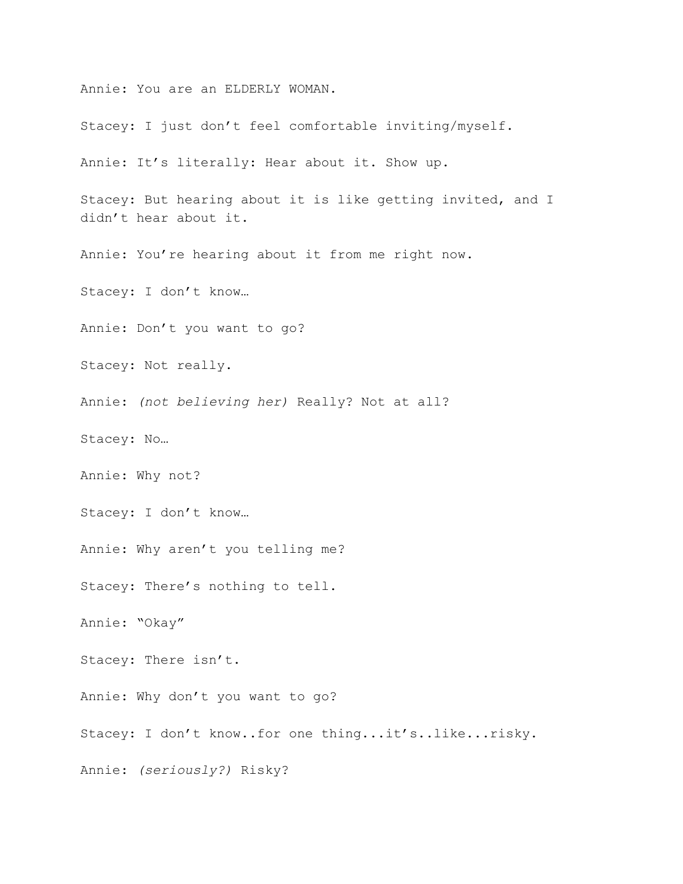Annie: You are an ELDERLY WOMAN.

Stacey: I just don't feel comfortable inviting/myself.

Annie: It's literally: Hear about it. Show up.

Stacey: But hearing about it is like getting invited, and I didn't hear about it.

Annie: You're hearing about it from me right now.

Stacey: I don't know…

Annie: Don't you want to go?

Stacey: Not really.

Annie: *(not believing her)* Really? Not at all?

Stacey: No…

Annie: Why not?

Stacey: I don't know…

Annie: Why aren't you telling me?

Stacey: There's nothing to tell.

Annie: "Okay"

Stacey: There isn't.

Annie: Why don't you want to go?

Stacey: I don't know..for one thing...it's..like...risky.

Annie: *(seriously?)* Risky?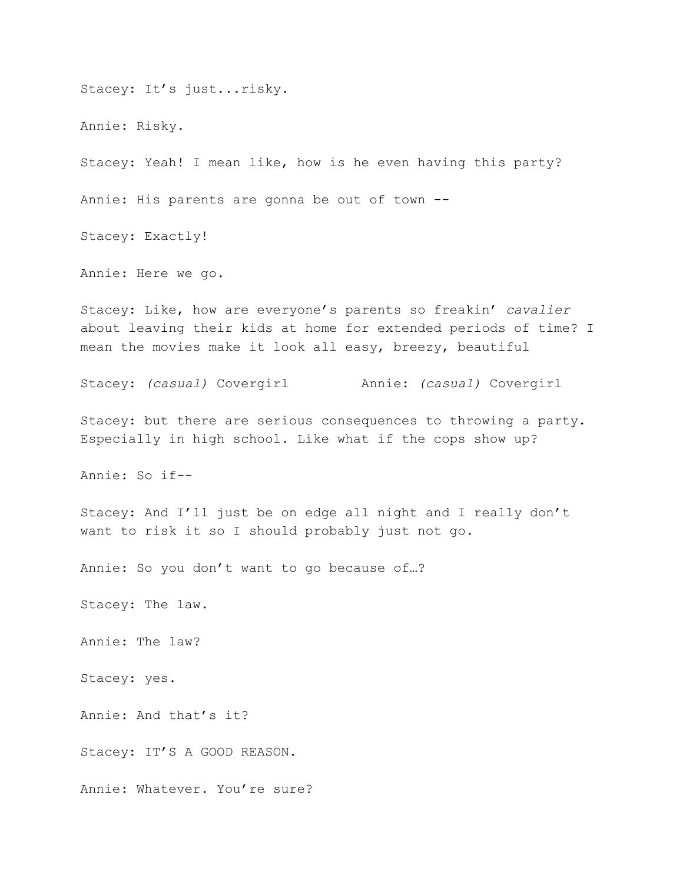Stacey: It's just...risky. Annie: Risky. Stacey: Yeah! I mean like, how is he even having this party? Annie: His parents are gonna be out of town -- Stacey: Exactly! Annie: Here we go. Stacey: Like, how are everyone's parents so freakin' *cavalier* about leaving their kids at home for extended periods of time? I mean the movies make it look all easy, breezy, beautiful Stacey: *(casual)* Covergirl Annie: *(casual)* Covergirl Stacey: but there are serious consequences to throwing a party. Especially in high school. Like what if the cops show up? Annie: So if-- Stacey: And I'll just be on edge all night and I really don't want to risk it so I should probably just not go. Annie: So you don't want to go because of…? Stacey: The law. Annie: The law? Stacey: yes. Annie: And that's it? Stacey: IT'S A GOOD REASON. Annie: Whatever. You're sure?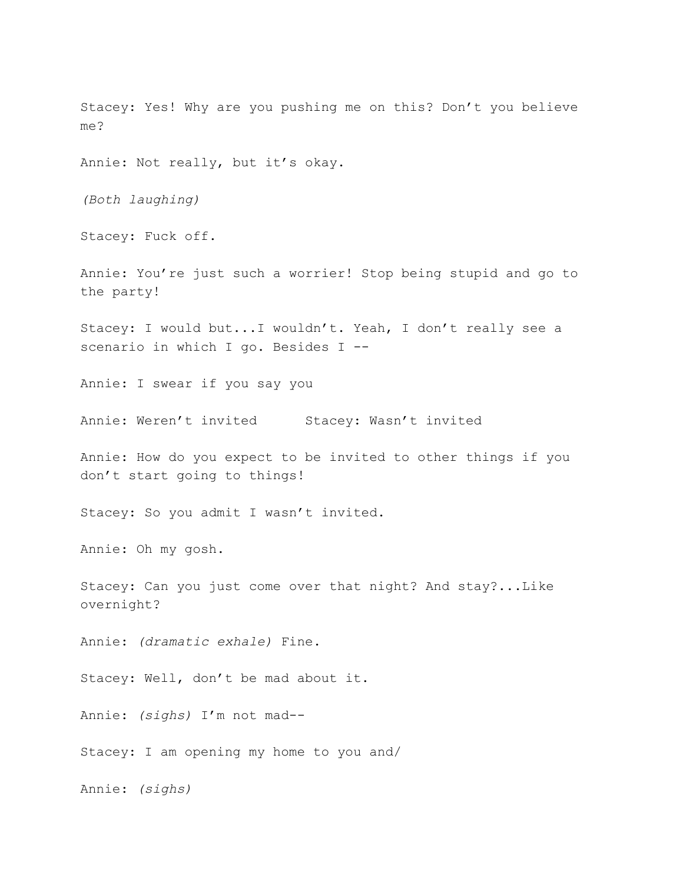Stacey: Yes! Why are you pushing me on this? Don't you believe me?

Annie: Not really, but it's okay.

*(Both laughing)*

Stacey: Fuck off.

Annie: You're just such a worrier! Stop being stupid and go to the party!

Stacey: I would but...I wouldn't. Yeah, I don't really see a scenario in which I go. Besides I --

Annie: I swear if you say you

Annie: Weren't invited Stacey: Wasn't invited

Annie: How do you expect to be invited to other things if you don't start going to things!

Stacey: So you admit I wasn't invited.

Annie: Oh my gosh.

Stacey: Can you just come over that night? And stay?...Like overnight?

Annie: *(dramatic exhale)* Fine.

Stacey: Well, don't be mad about it.

Annie: *(sighs)* I'm not mad--

Stacey: I am opening my home to you and/

Annie: *(sighs)*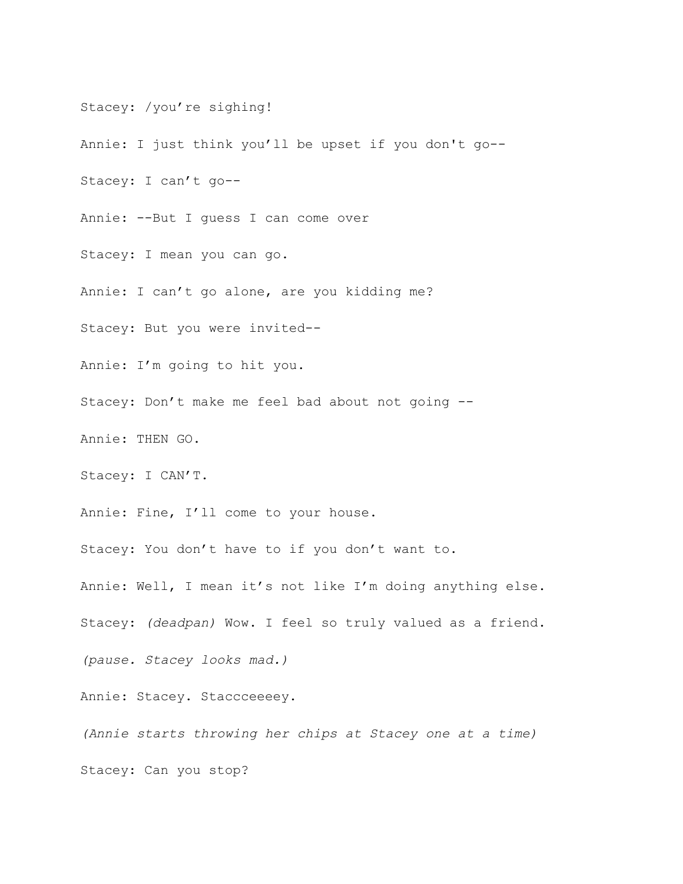Stacey: /you're sighing!

Annie: I just think you'll be upset if you don't go--

Stacey: I can't go--

Annie: --But I guess I can come over

Stacey: I mean you can go.

Annie: I can't go alone, are you kidding me?

Stacey: But you were invited--

Annie: I'm going to hit you.

Stacey: Don't make me feel bad about not going --

Annie: THEN GO.

Stacey: I CAN'T.

Annie: Fine, I'll come to your house.

Stacey: You don't have to if you don't want to.

Annie: Well, I mean it's not like I'm doing anything else. Stacey: *(deadpan)* Wow. I feel so truly valued as a friend. *(pause. Stacey looks mad.)*

Annie: Stacey. Staccceeeey.

*(Annie starts throwing her chips at Stacey one at a time)* Stacey: Can you stop?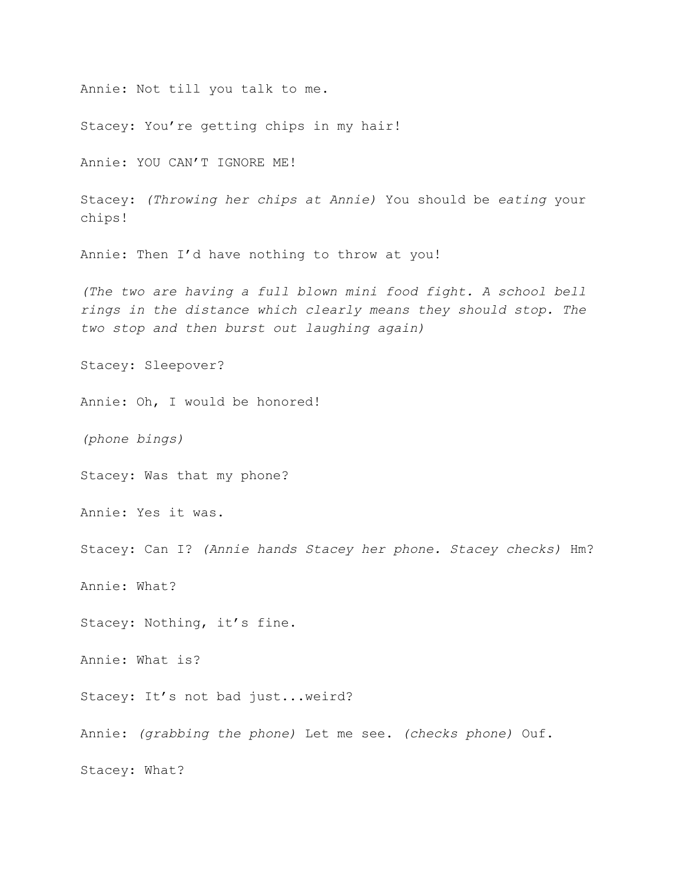Annie: Not till you talk to me.

Stacey: You're getting chips in my hair!

Annie: YOU CAN'T IGNORE ME!

Stacey: *(Throwing her chips at Annie)* You should be *eating* your chips!

Annie: Then I'd have nothing to throw at you!

*(The two are having a full blown mini food fight. A school bell rings in the distance which clearly means they should stop. The two stop and then burst out laughing again)*

Stacey: Sleepover?

Annie: Oh, I would be honored!

*(phone bings)*

Stacey: Was that my phone?

Annie: Yes it was.

Stacey: Can I? *(Annie hands Stacey her phone. Stacey checks)* Hm?

Annie: What?

Stacey: Nothing, it's fine.

Annie: What is?

Stacey: It's not bad just...weird?

Annie: *(grabbing the phone)* Let me see. *(checks phone)* Ouf.

Stacey: What?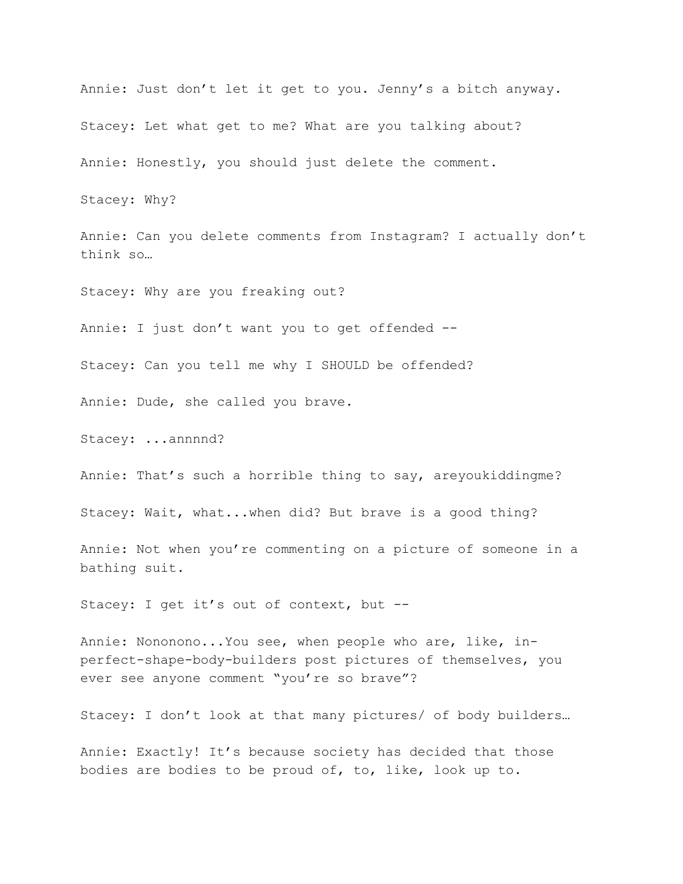Annie: Just don't let it get to you. Jenny's a bitch anyway. Stacey: Let what get to me? What are you talking about? Annie: Honestly, you should just delete the comment. Stacey: Why? Annie: Can you delete comments from Instagram? I actually don't think so… Stacey: Why are you freaking out? Annie: I just don't want you to get offended -- Stacey: Can you tell me why I SHOULD be offended? Annie: Dude, she called you brave. Stacey: ...annnnd? Annie: That's such a horrible thing to say, areyoukiddingme? Stacey: Wait, what...when did? But brave is a good thing? Annie: Not when you're commenting on a picture of someone in a bathing suit. Stacey: I get it's out of context, but -- Annie: Nononono...You see, when people who are, like, inperfect-shape-body-builders post pictures of themselves, you ever see anyone comment "you're so brave"? Stacey: I don't look at that many pictures/ of body builders… Annie: Exactly! It's because society has decided that those

bodies are bodies to be proud of, to, like, look up to.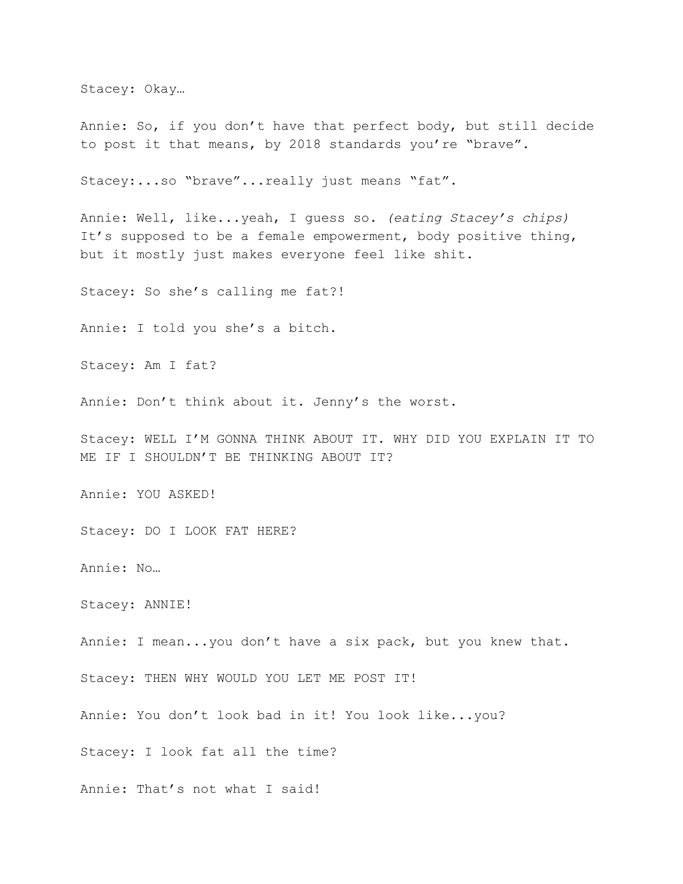Stacey: Okay…

Annie: So, if you don't have that perfect body, but still decide to post it that means, by 2018 standards you're "brave".

Stacey:...so "brave"...really just means "fat".

Annie: Well, like...yeah, I guess so. *(eating Stacey's chips)* It's supposed to be a female empowerment, body positive thing, but it mostly just makes everyone feel like shit.

Stacey: So she's calling me fat?!

Annie: I told you she's a bitch.

Stacey: Am I fat?

Annie: Don't think about it. Jenny's the worst.

Stacey: WELL I'M GONNA THINK ABOUT IT. WHY DID YOU EXPLAIN IT TO ME IF I SHOULDN'T BE THINKING ABOUT IT?

Annie: YOU ASKED!

Stacey: DO I LOOK FAT HERE?

Annie: No…

Stacey: ANNIE!

Annie: I mean...you don't have a six pack, but you knew that.

Stacey: THEN WHY WOULD YOU LET ME POST IT!

Annie: You don't look bad in it! You look like...you?

Stacey: I look fat all the time?

Annie: That's not what I said!